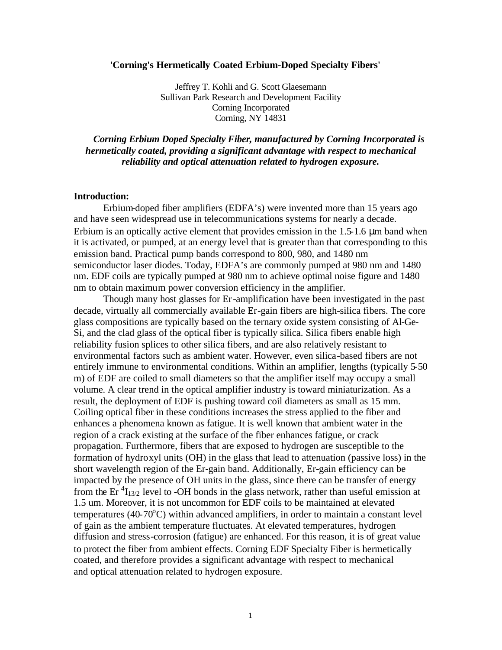### **'Corning's Hermetically Coated Erbium-Doped Specialty Fibers'**

Jeffrey T. Kohli and G. Scott Glaesemann Sullivan Park Research and Development Facility Corning Incorporated Corning, NY 14831

*Corning Erbium Doped Specialty Fiber, manufactured by Corning Incorporated is hermetically coated, providing a significant advantage with respect to mechanical reliability and optical attenuation related to hydrogen exposure.*

### **Introduction:**

Erbium-doped fiber amplifiers (EDFA's) were invented more than 15 years ago and have seen widespread use in telecommunications systems for nearly a decade. Erbium is an optically active element that provides emission in the 1.5-1.6 μm band when it is activated, or pumped, at an energy level that is greater than that corresponding to this emission band. Practical pump bands correspond to 800, 980, and 1480 nm semiconductor laser diodes. Today, EDFA's are commonly pumped at 980 nm and 1480 nm. EDF coils are typically pumped at 980 nm to achieve optimal noise figure and 1480 nm to obtain maximum power conversion efficiency in the amplifier.

Though many host glasses for Er-amplification have been investigated in the past decade, virtually all commercially available Er-gain fibers are high-silica fibers. The core glass compositions are typically based on the ternary oxide system consisting of Al-Ge-Si, and the clad glass of the optical fiber is typically silica. Silica fibers enable high reliability fusion splices to other silica fibers, and are also relatively resistant to environmental factors such as ambient water. However, even silica-based fibers are not entirely immune to environmental conditions. Within an amplifier, lengths (typically 5-50 m) of EDF are coiled to small diameters so that the amplifier itself may occupy a small volume. A clear trend in the optical amplifier industry is toward miniaturization. As a result, the deployment of EDF is pushing toward coil diameters as small as 15 mm. Coiling optical fiber in these conditions increases the stress applied to the fiber and enhances a phenomena known as fatigue. It is well known that ambient water in the region of a crack existing at the surface of the fiber enhances fatigue, or crack propagation. Furthermore, fibers that are exposed to hydrogen are susceptible to the formation of hydroxyl units (OH) in the glass that lead to attenuation (passive loss) in the short wavelength region of the Er-gain band. Additionally, Er-gain efficiency can be impacted by the presence of OH units in the glass, since there can be transfer of energy from the Er<sup>4</sup> $I_{13/2}$  level to -OH bonds in the glass network, rather than useful emission at 1.5 um. Moreover, it is not uncommon for EDF coils to be maintained at elevated temperatures (40-70°C) within advanced amplifiers, in order to maintain a constant level of gain as the ambient temperature fluctuates. At elevated temperatures, hydrogen diffusion and stress-corrosion (fatigue) are enhanced. For this reason, it is of great value to protect the fiber from ambient effects. Corning EDF Specialty Fiber is hermetically coated, and therefore provides a significant advantage with respect to mechanical and optical attenuation related to hydrogen exposure.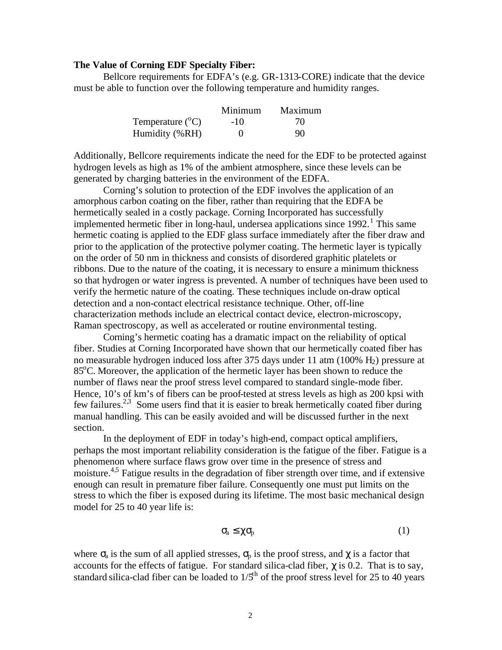### **The Value of Corning EDF Specialty Fiber:**

Bellcore requirements for EDFA's (e.g. GR-1313-CORE) indicate that the device must be able to function over the following temperature and humidity ranges.

|                           | Minimum | Maximum |
|---------------------------|---------|---------|
| Temperature $(^{\circ}C)$ | $-1()$  | 70.     |
| Humidity (%RH)            |         | 90      |

Additionally, Bellcore requirements indicate the need for the EDF to be protected against hydrogen levels as high as 1% of the ambient atmosphere, since these levels can be generated by charging batteries in the environment of the EDFA.

Corning's solution to protection of the EDF involves the application of an amorphous carbon coating on the fiber, rather than requiring that the EDFA be hermetically sealed in a costly package. Corning Incorporated has successfully implemented hermetic fiber in long-haul, undersea applications since  $1992$ .<sup>1</sup> This same hermetic coating is applied to the EDF glass surface immediately after the fiber draw and prior to the application of the protective polymer coating. The hermetic layer is typically on the order of 50 nm in thickness and consists of disordered graphitic platelets or ribbons. Due to the nature of the coating, it is necessary to ensure a minimum thickness so that hydrogen or water ingress is prevented. A number of techniques have been used to verify the hermetic nature of the coating. These techniques include on-draw optical detection and a non-contact electrical resistance technique. Other, off-line characterization methods include an electrical contact device, electron-microscopy, Raman spectroscopy, as well as accelerated or routine environmental testing.

Corning's hermetic coating has a dramatic impact on the reliability of optical fiber. Studies at Corning Incorporated have shown that our hermetically coated fiber has no measurable hydrogen induced loss after 375 days under 11 atm (100% H2) pressure at 85°C. Moreover, the application of the hermetic layer has been shown to reduce the number of flaws near the proof stress level compared to standard single-mode fiber. Hence, 10's of km's of fibers can be proof-tested at stress levels as high as 200 kpsi with few failures.<sup>2,3</sup> Some users find that it is easier to break hermetically coated fiber during manual handling. This can be easily avoided and will be discussed further in the next section.

In the deployment of EDF in today's high-end, compact optical amplifiers, perhaps the most important reliability consideration is the fatigue of the fiber. Fatigue is a phenomenon where surface flaws grow over time in the presence of stress and moisture.<sup>4,5</sup> Fatigue results in the degradation of fiber strength over time, and if extensive enough can result in premature fiber failure. Consequently one must put limits on the stress to which the fiber is exposed during its lifetime. The most basic mechanical design model for 25 to 40 year life is:

$$
\sigma_{a} \leq \chi \sigma_{p} \tag{1}
$$

where  $\sigma_a$  is the sum of all applied stresses,  $\sigma_p$  is the proof stress, and  $\chi$  is a factor that accounts for the effects of fatigue. For standard silica-clad fiber,  $\gamma$  is 0.2. That is to say, standard silica-clad fiber can be loaded to  $1/5<sup>th</sup>$  of the proof stress level for 25 to 40 years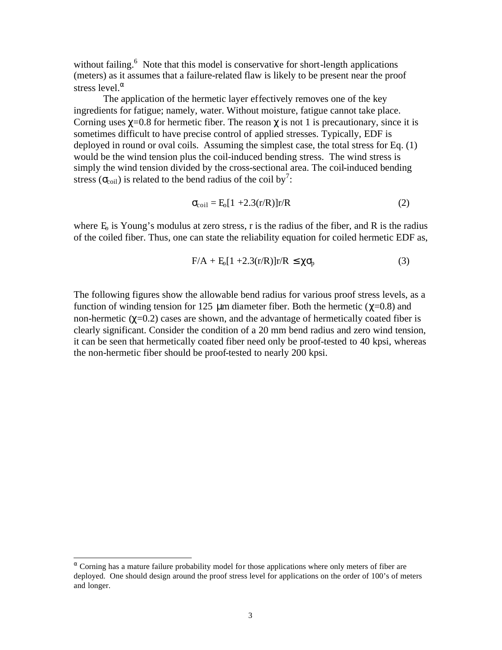without failing.<sup>6</sup> Note that this model is conservative for short-length applications (meters) as it assumes that a failure-related flaw is likely to be present near the proof stress level. $\alpha$ 

The application of the hermetic layer effectively removes one of the key ingredients for fatigue; namely, water. Without moisture, fatigue cannot take place. Corning uses  $\gamma$ =0.8 for hermetic fiber. The reason  $\gamma$  is not 1 is precautionary, since it is sometimes difficult to have precise control of applied stresses. Typically, EDF is deployed in round or oval coils. Assuming the simplest case, the total stress for Eq. (1) would be the wind tension plus the coil-induced bending stress. The wind stress is simply the wind tension divided by the cross-sectional area. The coil-induced bending stress ( $\sigma_{\text{coil}}$ ) is related to the bend radius of the coil by<sup>7</sup>:

$$
\sigma_{\text{coil}} = \text{E}_0[1 + 2.3(\text{r/R})]\text{r/R} \tag{2}
$$

where  $E_0$  is Young's modulus at zero stress, r is the radius of the fiber, and R is the radius of the coiled fiber. Thus, one can state the reliability equation for coiled hermetic EDF as,

$$
F/A + E_0[1 + 2.3(r/R)]r/R \le \chi \sigma_p \tag{3}
$$

The following figures show the allowable bend radius for various proof stress levels, as a function of winding tension for 125 μm diameter fiber. Both the hermetic ( $χ=0.8$ ) and non-hermetic  $(\gamma=0.2)$  cases are shown, and the advantage of hermetically coated fiber is clearly significant. Consider the condition of a 20 mm bend radius and zero wind tension, it can be seen that hermetically coated fiber need only be proof-tested to 40 kpsi, whereas the non-hermetic fiber should be proof-tested to nearly 200 kpsi.

l

 $\alpha$  Corning has a mature failure probability model for those applications where only meters of fiber are deployed. One should design around the proof stress level for applications on the order of 100's of meters and longer.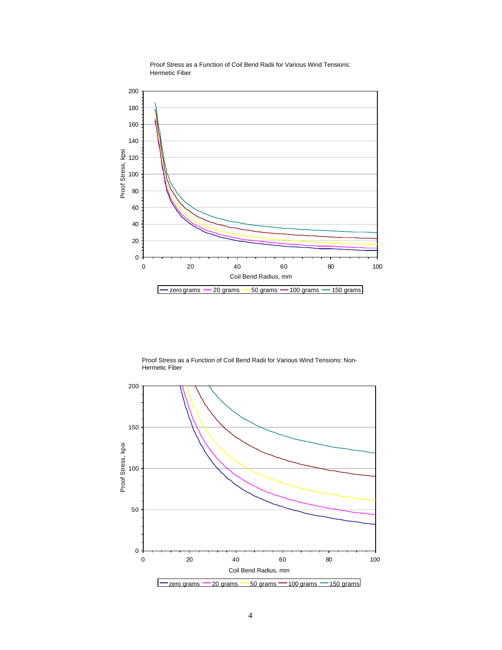

Proof Stress as a Function of Coil Bend Radii for Various Wind Tensions: Hermetic Fiber

Proof Stress as a Function of Coil Bend Radii for Various Wind Tensions: Non-Hermetic Fiber

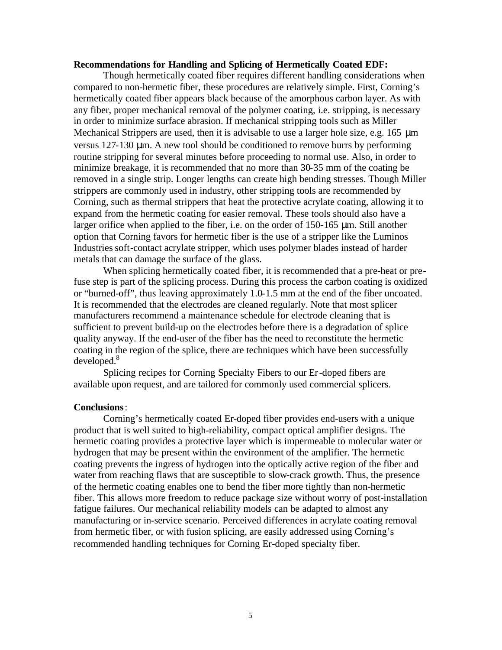# **Recommendations for Handling and Splicing of Hermetically Coated EDF:**

Though hermetically coated fiber requires different handling considerations when compared to non-hermetic fiber, these procedures are relatively simple. First, Corning's hermetically coated fiber appears black because of the amorphous carbon layer. As with any fiber, proper mechanical removal of the polymer coating, i.e. stripping, is necessary in order to minimize surface abrasion. If mechanical stripping tools such as Miller Mechanical Strippers are used, then it is advisable to use a larger hole size, e.g. 165 μm versus 127-130 μm. A new tool should be conditioned to remove burrs by performing routine stripping for several minutes before proceeding to normal use. Also, in order to minimize breakage, it is recommended that no more than 30-35 mm of the coating be removed in a single strip. Longer lengths can create high bending stresses. Though Miller strippers are commonly used in industry, other stripping tools are recommended by Corning, such as thermal strippers that heat the protective acrylate coating, allowing it to expand from the hermetic coating for easier removal. These tools should also have a larger orifice when applied to the fiber, i.e. on the order of 150-165 μm. Still another option that Corning favors for hermetic fiber is the use of a stripper like the Luminos Industries soft-contact acrylate stripper, which uses polymer blades instead of harder metals that can damage the surface of the glass.

When splicing hermetically coated fiber, it is recommended that a pre-heat or prefuse step is part of the splicing process. During this process the carbon coating is oxidized or "burned-off", thus leaving approximately 1.0-1.5 mm at the end of the fiber uncoated. It is recommended that the electrodes are cleaned regularly. Note that most splicer manufacturers recommend a maintenance schedule for electrode cleaning that is sufficient to prevent build-up on the electrodes before there is a degradation of splice quality anyway. If the end-user of the fiber has the need to reconstitute the hermetic coating in the region of the splice, there are techniques which have been successfully developed.<sup>8</sup>

Splicing recipes for Corning Specialty Fibers to our Er-doped fibers are available upon request, and are tailored for commonly used commercial splicers.

## **Conclusions**:

Corning's hermetically coated Er-doped fiber provides end-users with a unique product that is well suited to high-reliability, compact optical amplifier designs. The hermetic coating provides a protective layer which is impermeable to molecular water or hydrogen that may be present within the environment of the amplifier. The hermetic coating prevents the ingress of hydrogen into the optically active region of the fiber and water from reaching flaws that are susceptible to slow-crack growth. Thus, the presence of the hermetic coating enables one to bend the fiber more tightly than non-hermetic fiber. This allows more freedom to reduce package size without worry of post-installation fatigue failures. Our mechanical reliability models can be adapted to almost any manufacturing or in-service scenario. Perceived differences in acrylate coating removal from hermetic fiber, or with fusion splicing, are easily addressed using Corning's recommended handling techniques for Corning Er-doped specialty fiber.